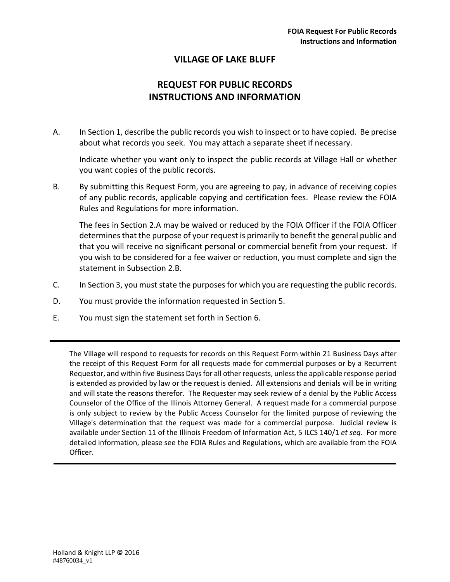## **VILLAGE OF LAKE BLUFF**

# **REQUEST FOR PUBLIC RECORDS INSTRUCTIONS AND INFORMATION**

A. In Section 1, describe the public records you wish to inspect or to have copied. Be precise about what records you seek. You may attach a separate sheet if necessary.

Indicate whether you want only to inspect the public records at Village Hall or whether you want copies of the public records.

B. By submitting this Request Form, you are agreeing to pay, in advance of receiving copies of any public records, applicable copying and certification fees. Please review the FOIA Rules and Regulations for more information.

The fees in Section 2.A may be waived or reduced by the FOIA Officer if the FOIA Officer determines that the purpose of your request is primarily to benefit the general public and that you will receive no significant personal or commercial benefit from your request. If you wish to be considered for a fee waiver or reduction, you must complete and sign the statement in Subsection 2.B.

- C. In Section 3, you must state the purposes for which you are requesting the public records.
- D. You must provide the information requested in Section 5.
- E. You must sign the statement set forth in Section 6.

The Village will respond to requests for records on this Request Form within 21 Business Days after the receipt of this Request Form for all requests made for commercial purposes or by a Recurrent Requestor, and within five Business Daysfor all other requests, unlessthe applicable response period is extended as provided by law or the request is denied. All extensions and denials will be in writing and will state the reasons therefor. The Requester may seek review of a denial by the Public Access Counselor of the Office of the Illinois Attorney General. A request made for a commercial purpose is only subject to review by the Public Access Counselor for the limited purpose of reviewing the Village's determination that the request was made for a commercial purpose. Judicial review is available under Section 11 of the Illinois Freedom of Information Act, 5 ILCS 140/1 *et seq*. For more detailed information, please see the FOIA Rules and Regulations, which are available from the FOIA Officer.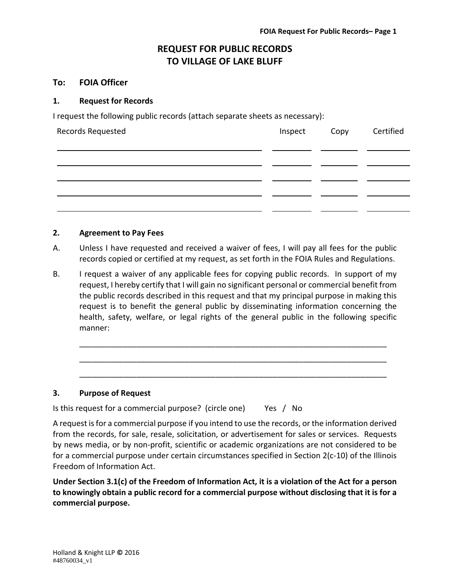# **REQUEST FOR PUBLIC RECORDS TO VILLAGE OF LAKE BLUFF**

### **To: FOIA Officer**

#### **1. Request for Records**

I request the following public records (attach separate sheets as necessary):

| Records Requested | Inspect Copy | Certified |
|-------------------|--------------|-----------|
|                   |              |           |
|                   |              |           |
|                   |              |           |
|                   |              |           |

#### **2. Agreement to Pay Fees**

- A. Unless I have requested and received a waiver of fees, I will pay all fees for the public records copied or certified at my request, as set forth in the FOIA Rules and Regulations.
- B. I request a waiver of any applicable fees for copying public records. In support of my request, I hereby certify that I will gain no significant personal or commercial benefit from the public records described in this request and that my principal purpose in making this request is to benefit the general public by disseminating information concerning the health, safety, welfare, or legal rights of the general public in the following specific manner:

\_\_\_\_\_\_\_\_\_\_\_\_\_\_\_\_\_\_\_\_\_\_\_\_\_\_\_\_\_\_\_\_\_\_\_\_\_\_\_\_\_\_\_\_\_\_\_\_\_\_\_\_\_\_\_\_\_\_\_\_\_\_\_\_\_\_\_\_\_\_

\_\_\_\_\_\_\_\_\_\_\_\_\_\_\_\_\_\_\_\_\_\_\_\_\_\_\_\_\_\_\_\_\_\_\_\_\_\_\_\_\_\_\_\_\_\_\_\_\_\_\_\_\_\_\_\_\_\_\_\_\_\_\_\_\_\_\_\_\_\_

\_\_\_\_\_\_\_\_\_\_\_\_\_\_\_\_\_\_\_\_\_\_\_\_\_\_\_\_\_\_\_\_\_\_\_\_\_\_\_\_\_\_\_\_\_\_\_\_\_\_\_\_\_\_\_\_\_\_\_\_\_\_\_\_\_\_\_\_\_\_

#### **3. Purpose of Request**

Is this request for a commercial purpose? (circle one) Yes / No

A request isfor a commercial purpose if you intend to use the records, or the information derived from the records, for sale, resale, solicitation, or advertisement for sales or services. Requests by news media, or by non‐profit, scientific or academic organizations are not considered to be for a commercial purpose under certain circumstances specified in Section 2(c‐10) of the Illinois Freedom of Information Act.

Under Section 3.1(c) of the Freedom of Information Act, it is a violation of the Act for a person **to knowingly obtain a public record for a commercial purpose without disclosing that it is for a commercial purpose.**